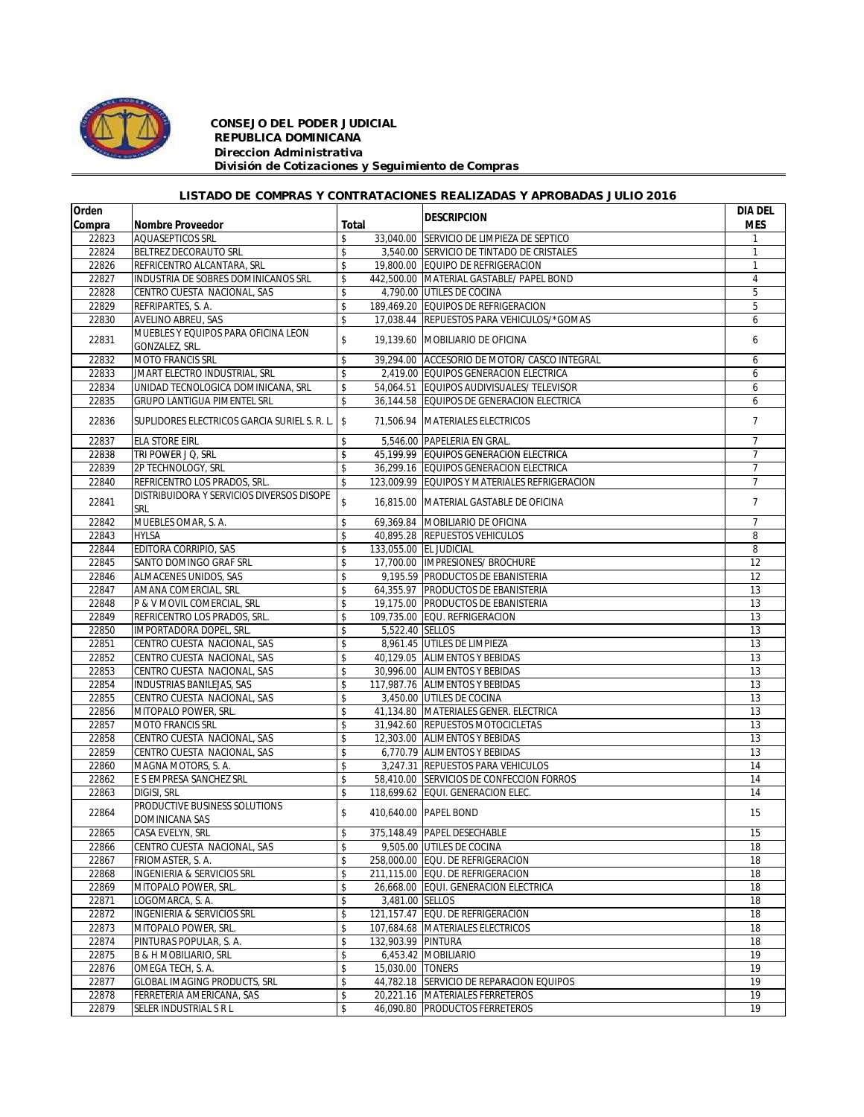

## *CONSEJO DEL PODER JUDICIAL REPUBLICA DOMINICANA Direccion Administrativa División de Cotizaciones y Seguimiento de Compras*

## *LISTADO DE COMPRAS Y CONTRATACIONES REALIZADAS Y APROBADAS JULIO 2016*

| Orden  |                                                       |       |                    | <b>IDESCRIPCION</b>                           | DIA DEL         |
|--------|-------------------------------------------------------|-------|--------------------|-----------------------------------------------|-----------------|
| Compra | <b>Nombre Proveedor</b>                               | Total |                    |                                               | <b>MES</b>      |
| 22823  | AQUASEPTICOS SRL                                      | \$    |                    | 33,040.00 SERVICIO DE LIMPIEZA DE SEPTICO     |                 |
| 22824  | BELTREZ DECORAUTO SRL                                 | \$    |                    | 3.540.00 SERVICIO DE TINTADO DE CRISTALES     | $\mathbf{1}$    |
| 22826  | REFRICENTRO ALCANTARA, SRL                            | \$    |                    | 19,800.00 EQUIPO DE REFRIGERACION             | $\mathbf{1}$    |
| 22827  | INDUSTRIA DE SOBRES DOMINICANOS SRL                   | \$    |                    | 442.500.00 MATERIAL GASTABLE/ PAPEL BOND      | $\overline{4}$  |
| 22828  | CENTRO CUESTA NACIONAL, SAS                           | \$    |                    | 4.790.00 UTILES DE COCINA                     | 5               |
| 22829  | REFRIPARTES, S. A.                                    | \$    |                    | 189,469.20 EQUIPOS DE REFRIGERACION           | 5               |
| 22830  | AVELINO ABREU, SAS                                    | \$    |                    | 17,038.44 REPUESTOS PARA VEHICULOS/*GOMAS     | 6               |
| 22831  | MUEBLES Y EQUIPOS PARA OFICINA LEON<br>GONZALEZ, SRL. | \$    |                    | 19,139.60 MOBILIARIO DE OFICINA               | 6               |
| 22832  | <b>MOTO FRANCIS SRL</b>                               | \$    |                    | 39,294.00 ACCESORIO DE MOTOR/ CASCO INTEGRAL  | 6               |
| 22833  | JMART ELECTRO INDUSTRIAL, SRL                         | \$    |                    | 2,419.00 EQUIPOS GENERACION ELECTRICA         | 6               |
| 22834  | UNIDAD TECNOLOGICA DOMINICANA, SRL                    | \$    |                    | 54,064.51 EQUIPOS AUDIVISUALES/ TELEVISOR     | 6               |
| 22835  | <b>GRUPO LANTIGUA PIMENTEL SRL</b>                    | \$    |                    | 36,144.58 EQUIPOS DE GENERACION ELECTRICA     | 6               |
| 22836  | SUPLIDORES ELECTRICOS GARCIA SURIEL S. R. L. S        |       |                    | 71,506.94 MATERIALES ELECTRICOS               | $7\overline{ }$ |
| 22837  | <b>ELA STORE EIRL</b>                                 | \$    |                    | 5,546.00 PAPELERIA EN GRAL.                   | $\overline{7}$  |
| 22838  | TRI POWER J Q, SRL                                    | \$    |                    | 45,199.99 EQUIPOS GENERACION ELECTRICA        | $\overline{7}$  |
| 22839  | 2P TECHNOLOGY, SRL                                    | \$    |                    | 36,299.16 EQUIPOS GENERACION ELECTRICA        | $\overline{7}$  |
| 22840  | REFRICENTRO LOS PRADOS, SRL.                          | \$    |                    | 123.009.99 EQUIPOS Y MATERIALES REFRIGERACION | $\overline{7}$  |
| 22841  | DISTRIBUIDORA Y SERVICIOS DIVERSOS DISOPE<br>SRL      | \$    |                    | 16.815.00 MATERIAL GASTABLE DE OFICINA        | $\overline{7}$  |
| 22842  | MUEBLES OMAR, S. A.                                   | \$    |                    | 69,369.84 MOBILIARIO DE OFICINA               | 7               |
| 22843  | <b>HYLSA</b>                                          | \$    |                    | 40,895.28 REPUESTOS VEHICULOS                 | 8               |
| 22844  | EDITORA CORRIPIO, SAS                                 | \$    |                    | 133,055.00 EL JUDICIAL                        | 8               |
| 22845  | SANTO DOMINGO GRAF SRL                                | \$    |                    | 17,700.00  IMPRESIONES/ BROCHURE              | 12              |
| 22846  | ALMACENES UNIDOS, SAS                                 | \$    |                    | 9.195.59 PRODUCTOS DE EBANISTERIA             | 12              |
| 22847  | AMANA COMERCIAL, SRL                                  | \$    |                    | 64,355.97 PRODUCTOS DE EBANISTERIA            | 13              |
| 22848  | P & V MOVIL COMERCIAL, SRL                            | \$    |                    | 19,175.00 PRODUCTOS DE EBANISTERIA            | 13              |
| 22849  |                                                       | \$    |                    | 109,735.00 EQU. REFRIGERACION                 | 13              |
|        | REFRICENTRO LOS PRADOS, SRL.                          |       |                    |                                               |                 |
| 22850  | IMPORTADORA DOPEL, SRL.                               | \$    | 5,522.40 SELLOS    |                                               | 13              |
| 22851  | CENTRO CUESTA NACIONAL, SAS                           | \$    |                    | 8,961.45 UTILES DE LIMPIEZA                   | 13              |
| 22852  | CENTRO CUESTA NACIONAL, SAS                           | \$    |                    | 40,129.05 ALIMENTOS Y BEBIDAS                 | 13              |
| 22853  | CENTRO CUESTA NACIONAL, SAS                           | \$    |                    | 30,996.00 ALIMENTOS Y BEBIDAS                 | 13              |
| 22854  | <b>INDUSTRIAS BANILEJAS, SAS</b>                      | \$    |                    | 117,987.76 ALIMENTOS Y BEBIDAS                | 13              |
| 22855  | CENTRO CUESTA NACIONAL, SAS                           | \$    |                    | 3,450.00 UTILES DE COCINA                     | 13              |
| 22856  | MITOPALO POWER, SRL.                                  | \$    |                    | 41,134.80 MATERIALES GENER. ELECTRICA         | 13              |
| 22857  | <b>MOTO FRANCIS SRL</b>                               | \$    |                    | 31,942.60 REPUESTOS MOTOCICLETAS              | 13              |
| 22858  | CENTRO CUESTA NACIONAL, SAS                           | \$    |                    | 12,303.00 ALIMENTOS Y BEBIDAS                 | 13              |
| 22859  | CENTRO CUESTA NACIONAL, SAS                           | \$    |                    | 6,770.79 ALIMENTOS Y BEBIDAS                  | 13              |
| 22860  | MAGNA MOTORS, S. A.                                   | \$    |                    | 3,247.31 REPUESTOS PARA VEHICULOS             | 14              |
| 22862  | E S EMPRESA SANCHEZ SRL                               | \$    |                    | 58,410.00 SERVICIOS DE CONFECCION FORROS      | 14              |
| 22863  | DIGISI, SRL                                           | \$    |                    | 118,699.62 EQUI. GENERACION ELEC.             | 14              |
| 22864  | PRODUCTIVE BUSINESS SOLUTIONS<br>DOMINICANA SAS       | \$    |                    | 410,640.00 PAPEL BOND                         | 15              |
| 22865  | CASA EVELYN, SRL                                      | \$    |                    | 375,148.49 PAPEL DESECHABLE                   | 15              |
| 22866  | CENTRO CUESTA NACIONAL, SAS                           | \$    |                    | 9,505.00 UTILES DE COCINA                     | 18              |
| 22867  | FRIOMASTER, S. A.                                     | \$    |                    | 258,000.00 EQU. DE REFRIGERACION              | 18              |
| 22868  | INGENIERIA & SERVICIOS SRL                            | \$    |                    | 211,115.00 EQU. DE REFRIGERACION              | 18              |
| 22869  | MITOPALO POWER, SRL.                                  | \$    |                    | 26,668.00 EQUI. GENERACION ELECTRICA          | 18              |
| 22871  | LOGOMARCA, S. A.                                      | \$    | 3,481.00 SELLOS    |                                               | 18              |
| 22872  | <b>INGENIERIA &amp; SERVICIOS SRL</b>                 | \$    |                    | 121,157.47 EQU. DE REFRIGERACION              | 18              |
| 22873  | MITOPALO POWER, SRL.                                  | \$    |                    | 107,684.68 MATERIALES ELECTRICOS              | 18              |
| 22874  | PINTURAS POPULAR, S. A.                               | \$    | 132,903.99 PINTURA |                                               | 18              |
| 22875  | <b>B &amp; H MOBILIARIO, SRL</b>                      | \$    |                    | 6,453.42 MOBILIARIO                           | 19              |
| 22876  | OMEGA TECH, S. A.                                     | \$    | 15,030.00 TONERS   |                                               | 19              |
| 22877  | GLOBAL IMAGING PRODUCTS, SRL                          | \$    |                    | 44,782.18 SERVICIO DE REPARACION EQUIPOS      | 19              |
| 22878  | FERRETERIA AMERICANA, SAS                             | \$    |                    | 20,221.16 MATERIALES FERRETEROS               | 19              |
| 22879  | SELER INDUSTRIAL S R L                                | \$    |                    | 46,090.80 PRODUCTOS FERRETEROS                | 19              |
|        |                                                       |       |                    |                                               |                 |